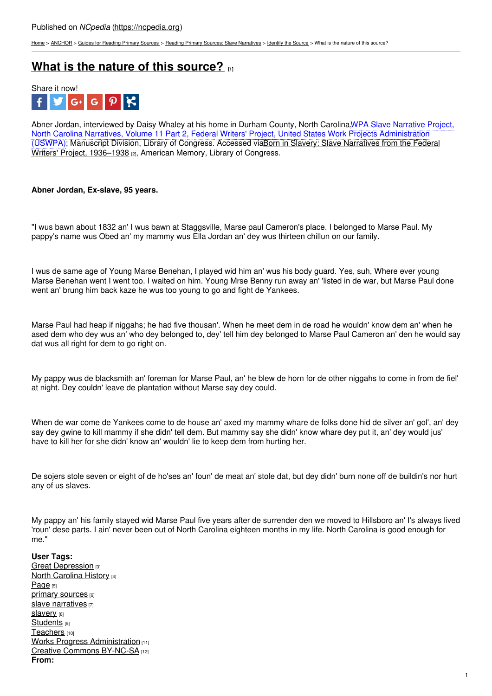[Home](https://ncpedia.org/) > [ANCHOR](https://ncpedia.org/anchor/anchor) > Guides for [Reading](https://ncpedia.org/anchor/guides-reading-primary) Primary Sources > Reading Primary Sources: Slave [Narratives](https://ncpedia.org/anchor/reading-primary-sources-0) > [Identify](https://ncpedia.org/anchor/identify-source) the Source > What is the nature of this source?

# **What is the nature of this [source?](https://ncpedia.org/anchor/what-nature-source-0) [1]**



Abner Jordan, interviewed by Daisy Whaley at his home in Durham County, North Carolina,WPA Slave Narrative Project, North Carolina Narratives, Volume 11 Part 2, Federal Writers' Project, United States Work Projects Administration (USWPA); [Manuscript](https://www.loc.gov/collections/slave-narratives-from-the-federal-writers-project-1936-to-1938/about-this-collection/) Division, Library of Congress. Accessed viaBorn in Slavery: Slave Narratives from the Federal Writers' Project, 1936–1938 [2], American Memory, Library of Congress.

## **Abner Jordan, Ex-slave, 95 years.**

"I wus bawn about 1832 an' I wus bawn at [Staggsville,](http://www.social9.com) Marse paul Cameron's place. I belonged to Marse Paul. My pappy's name wus Obed an' my mammy wus Ella Jordan an' dey wus thirteen chillun on our family.

I wus de same age of Young Marse Benehan, I played wid him an' wus his body guard. Yes, suh, Where ever young Marse Benehan went I went too. I waited on him. Young Mrse Benny run away an' 'listed in de war, but Marse Paul done went an' brung him back kaze he wus too young to go and fight de Yankees.

Marse Paul had heap if niggahs; he had five thousan'. When he meet dem in de road he wouldn' know dem an' when he ased dem who dey wus an' who dey belonged to, dey' tell him dey belonged to Marse Paul Cameron an' den he would say dat wus all right for dem to go right on.

My pappy wus de blacksmith an' foreman for Marse Paul, an' he blew de horn for de other niggahs to come in from de fiel' at night. Dey couldn' leave de plantation without Marse say dey could.

When de war come de Yankees come to de house an' axed my mammy whare de folks done hid de silver an' gol', an' dey say dey gwine to kill mammy if she didn' tell dem. But mammy say she didn' know whare dey put it, an' dey would jus' have to kill her for she didn' know an' wouldn' lie to keep dem from hurting her.

De sojers stole seven or eight of de ho'ses an' foun' de meat an' stole dat, but dey didn' burn none off de buildin's nor hurt any of us slaves.

My pappy an' his family stayed wid Marse Paul five years after de surrender den we moved to Hillsboro an' I's always lived 'roun' dese parts. I ain' never been out of North Carolina eighteen months in my life. North Carolina is good enough for me."

**User Tags:** Great [Depression](https://ncpedia.org/category/user-tags/great-depression) [3] North [Carolina](https://ncpedia.org/category/user-tags/north-carolina-6) History [4] [Page](https://ncpedia.org/category/user-tags/page) [5] primary [sources](https://ncpedia.org/category/user-tags/primary-sources) [6] slave [narratives](https://ncpedia.org/category/user-tags/slave-narratives) [7] [slavery](https://ncpedia.org/category/user-tags/slavery) [8] [Students](https://ncpedia.org/category/user-tags/students) [9] [Teachers](https://ncpedia.org/category/user-tags/teachers) [10] Works Progress [Administration](https://ncpedia.org/category/user-tags/works-progress) [11] Creative Commons [BY-NC-SA](https://ncpedia.org/category/user-tags/creative-commons) [12] **From:**